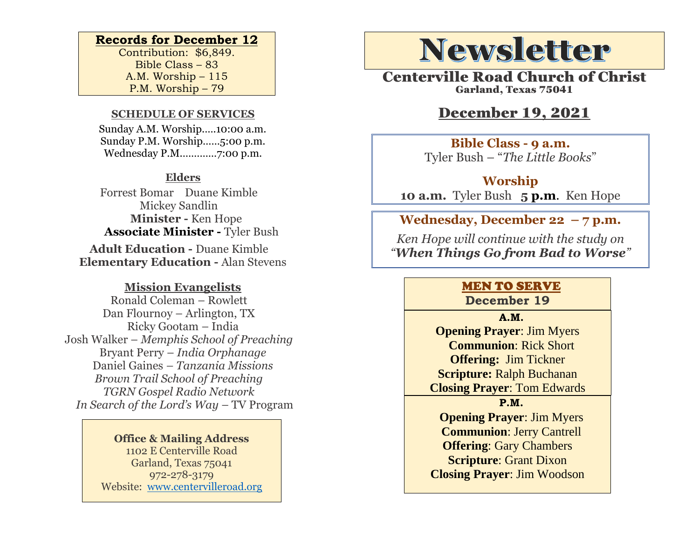#### **Records for December 12**

Contribution: \$6,849. Bible Class – 83 A.M. Worship – 115 P.M. Worship – 79

### **SCHEDULE OF SERVICES**

 Sunday A.M. Worship.….10:00 a.m. Sunday P.M. Worship……5:00 p.m. Wednesday P.M.…………7:00 p.m.

### **Elders**

Forrest Bomar Duane Kimble Mickey Sandlin  **Minister -** Ken Hope  **Associate Minister -** Tyler Bush

**Adult Education -** Duane Kimble **Elementary Education -** Alan Stevens

### **Mission Evangelists**

Ronald Coleman – Rowlett Dan Flournoy – Arlington, TX Ricky Gootam – India Josh Walker – *Memphis School of Preaching* Bryant Perry – *India Orphanage* Daniel Gaines *– Tanzania Missions Brown Trail School of Preaching TGRN Gospel Radio Network In Search of the Lord's Way – TV Program* 

> **Office & Mailing Address** 1102 E Centerville Road Garland, Texas 75041 972-278-3179 Website: [www.centervilleroad.org](https://d.docs.live.net/97e199c461b763eb/Newsletter/News%202020/August%202020/www.centervilleroad.org)

## **Newsletter**

Centerville Road Church of Christ Garland, Texas 75041

### December 19, 2021

**Bible Class - 9 a.m.** Tyler Bush – "*The Little Books*"

**Worship 10 a.m.** Tyler Bush **5 p.m**. Ken Hope

**Wednesday, December 22 – 7 p.m.** 

*Ken Hope will continue with the study on "When Things Go from Bad to Worse"* 

### MEN TO SERVE

**December 19**

**A.M. Opening Prayer**: Jim Myers **Communion**: Rick Short **Offering:** Jim Tickner **Scripture:** Ralph Buchanan **Closing Prayer**: Tom Edwards

**P.M.**

**Opening Prayer**: Jim Myers **Communion**: Jerry Cantrell **Offering**: Gary Chambers **Scripture**: Grant Dixon **Closing Prayer**: Jim Woodson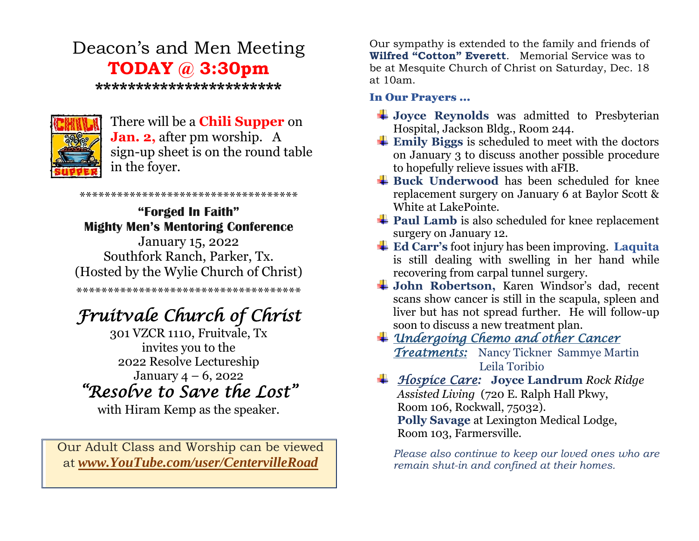### Deacon's and Men Meeting **TODAY @ 3:30pm**

**\*\*\*\*\*\*\*\*\*\*\*\*\*\*\*\*\*\*\*\*\*\*\***



### There will be a **Chili Supper** on **Jan. 2,** after pm worship. A sign-up sheet is on the round table in the foyer.

**"Forged In Faith" Mighty Men's Mentoring Conference** January 15, 2022 Southfork Ranch, Parker, Tx. (Hosted by the Wylie Church of Christ)

\*\*\*\*\*\*\*\*\*\*\*\*\*\*\*\*\*\*\*\*\*\*\*\*\*\*\*\*\*\*\*\*\*\*\*

\*\*\*\*\*\*\*\*\*\*\*\*\*\*\*\*\*\*\*\*\*\*\*\*\*\*\*\*\*\*\*\*\*\*\*\*

### *Fruitvale Church of Christ*

301 VZCR 1110, Fruitvale, Tx invites you to the 2022 Resolve Lectureship January  $4 - 6$ , 2022 *"Resolve to Save the Lost"*

with Hiram Kemp as the speaker.

Our Adult Class and Worship can be viewed at *[www.YouTube.com/user/CentervilleRoad](http://www.youtube.com/user/CentervilleRoad)*

Our sympathy is extended to the family and friends of **Wilfred "Cotton" Everett**. Memorial Service was to be at Mesquite Church of Christ on Saturday, Dec. 18 at 10am.

### In Our Prayers …

- $\frac{1}{2}$  Joyce Reynolds was admitted to Presbyterian Hospital, Jackson Bldg., Room 244.
- **Emily Biggs** is scheduled to meet with the doctors on January 3 to discuss another possible procedure to hopefully relieve issues with aFIB.
- $\frac{1}{2}$  **Buck Underwood** has been scheduled for knee replacement surgery on January 6 at Baylor Scott & White at LakePointe.
- **Paul Lamb** is also scheduled for knee replacement surgery on January 12.
- **Ed Carr's** foot injury has been improving. **Laquita**  is still dealing with swelling in her hand while recovering from carpal tunnel surgery.
- **John Robertson,** Karen Windsor's dad, recent scans show cancer is still in the scapula, spleen and liver but has not spread further. He will follow-up soon to discuss a new treatment plan.
- *Undergoing Chemo and other Cancer Treatments:* Nancy Tickner Sammye Martin Leila Toribio
- *Hospice Care:* **Joyce Landrum** *Rock Ridge Assisted Living* (720 E. Ralph Hall Pkwy, Room 106, Rockwall, 75032). **Polly Savage** at Lexington Medical Lodge, Room 103, Farmersville.

*Please also continue to keep our loved ones who are remain shut-in and confined at their homes.*